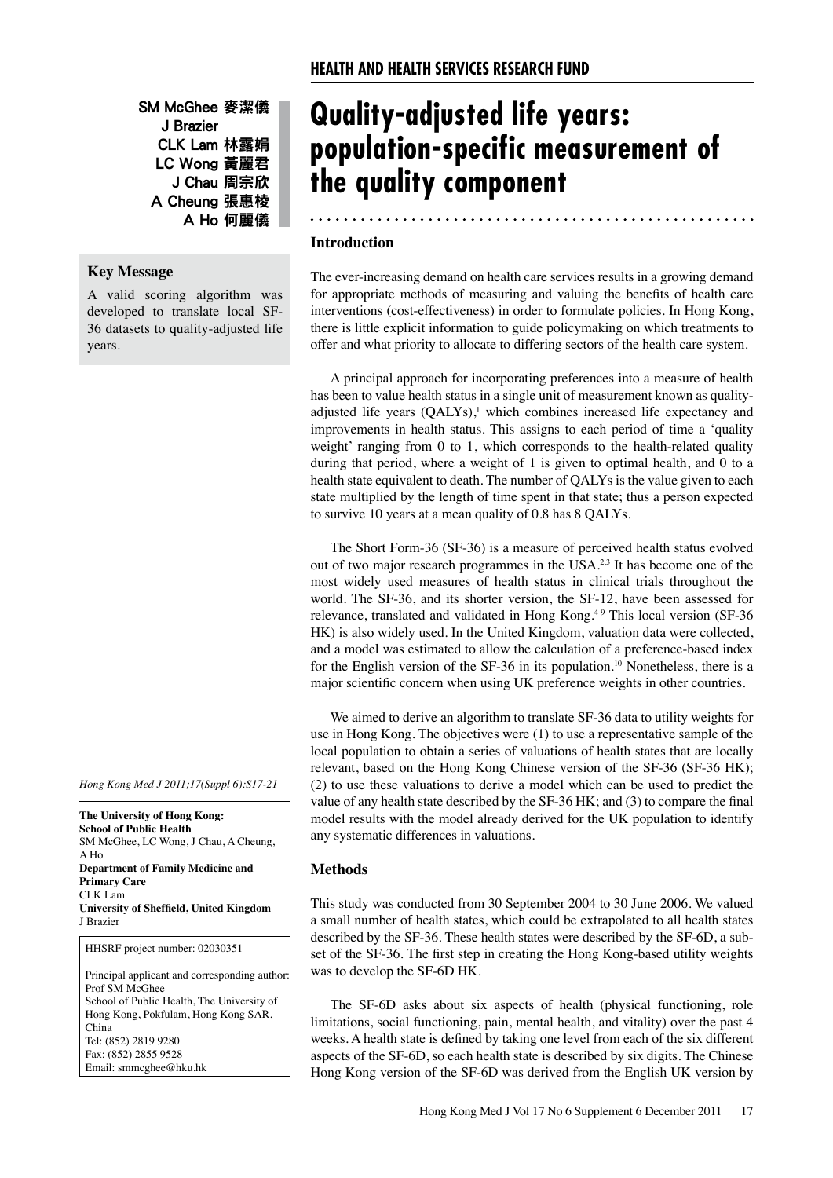SM McGhee 麥潔儀 J Brazier CLK Lam 林露娟 LC Wong 黃麗君 J Chau 周宗欣 A Cheung 張惠棱 A Ho 何麗儀

# **Key Message**

A valid scoring algorithm was developed to translate local SF-36 datasets to quality-adjusted life years.

*Hong Kong Med J 2011;17(Suppl 6):S17-21*

**The University of Hong Kong: School of Public Health** SM McGhee, LC Wong, J Chau, A Cheung, A Ho **Department of Family Medicine and Primary Care** CLK Lam **University of Sheffield, United Kingdom** J Brazier

HHSRF project number: 02030351

Principal applicant and corresponding author: Prof SM McGhee School of Public Health, The University of Hong Kong, Pokfulam, Hong Kong SAR, China Tel: (852) 2819 9280 Fax: (852) 2855 9528 Email: smmcghee@hku.hk

# **Quality-adjusted life years: population-specific measurement of the quality component**

## **Introduction**

The ever-increasing demand on health care services results in a growing demand for appropriate methods of measuring and valuing the benefits of health care interventions (cost-effectiveness) in order to formulate policies. In Hong Kong, there is little explicit information to guide policymaking on which treatments to offer and what priority to allocate to differing sectors of the health care system.

A principal approach for incorporating preferences into a measure of health has been to value health status in a single unit of measurement known as qualityadjusted life years (QALYs),<sup>1</sup> which combines increased life expectancy and improvements in health status. This assigns to each period of time a 'quality weight' ranging from 0 to 1, which corresponds to the health-related quality during that period, where a weight of 1 is given to optimal health, and 0 to a health state equivalent to death. The number of QALYs is the value given to each state multiplied by the length of time spent in that state; thus a person expected to survive 10 years at a mean quality of 0.8 has 8 QALYs.

The Short Form-36 (SF-36) is a measure of perceived health status evolved out of two major research programmes in the USA.<sup>2,3</sup> It has become one of the most widely used measures of health status in clinical trials throughout the world. The SF-36, and its shorter version, the SF-12, have been assessed for relevance, translated and validated in Hong Kong.<sup>49</sup> This local version (SF-36 HK) is also widely used. In the United Kingdom, valuation data were collected, and a model was estimated to allow the calculation of a preference-based index for the English version of the SF-36 in its population.<sup>10</sup> Nonetheless, there is a major scientific concern when using UK preference weights in other countries.

We aimed to derive an algorithm to translate SF-36 data to utility weights for use in Hong Kong. The objectives were (1) to use a representative sample of the local population to obtain a series of valuations of health states that are locally relevant, based on the Hong Kong Chinese version of the SF-36 (SF-36 HK); (2) to use these valuations to derive a model which can be used to predict the value of any health state described by the SF-36 HK; and (3) to compare the final model results with the model already derived for the UK population to identify any systematic differences in valuations.

# **Methods**

This study was conducted from 30 September 2004 to 30 June 2006. We valued a small number of health states, which could be extrapolated to all health states described by the SF-36. These health states were described by the SF-6D, a subset of the SF-36. The first step in creating the Hong Kong-based utility weights was to develop the SF-6D HK.

The SF-6D asks about six aspects of health (physical functioning, role limitations, social functioning, pain, mental health, and vitality) over the past 4 weeks. A health state is defined by taking one level from each of the six different aspects of the SF-6D, so each health state is described by six digits. The Chinese Hong Kong version of the SF-6D was derived from the English UK version by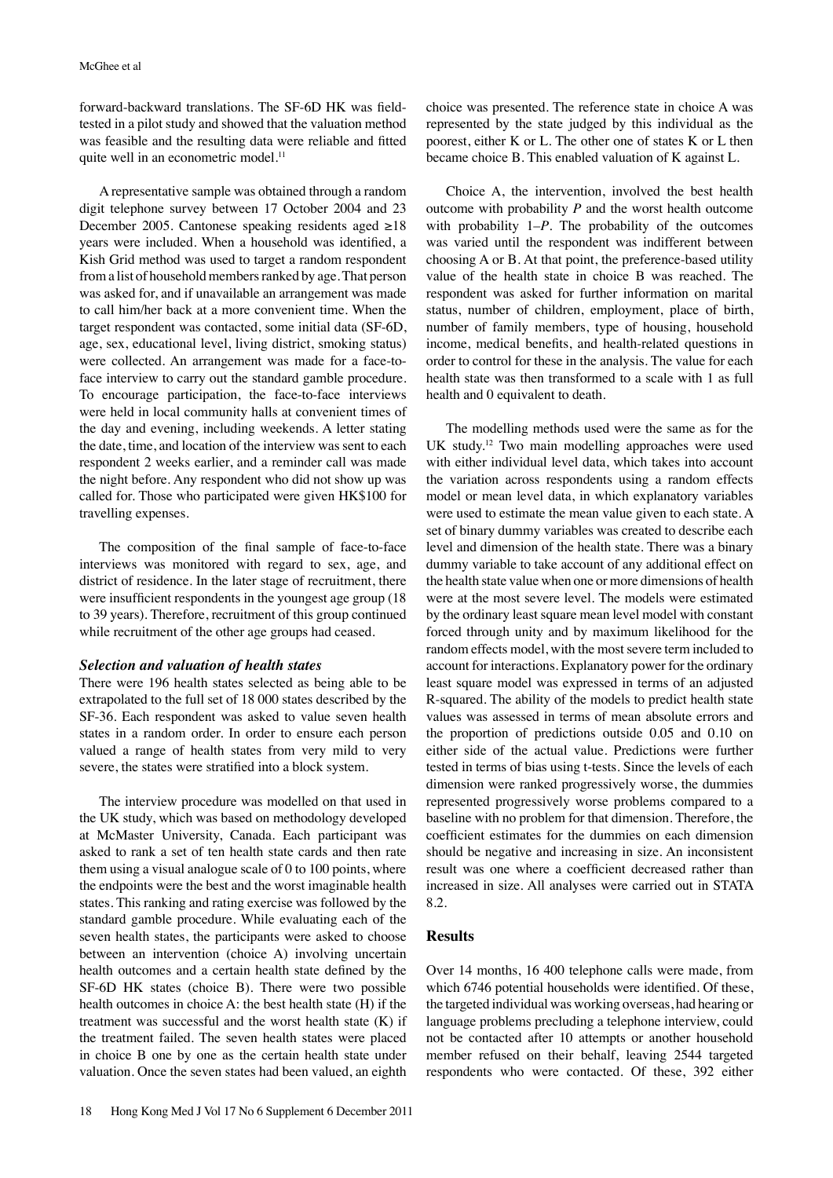forward-backward translations. The SF-6D HK was fieldtested in a pilot study and showed that the valuation method was feasible and the resulting data were reliable and fitted quite well in an econometric model.<sup>11</sup>

A representative sample was obtained through a random digit telephone survey between 17 October 2004 and 23 December 2005. Cantonese speaking residents aged ≥18 years were included. When a household was identified, a Kish Grid method was used to target a random respondent from a list of household members ranked by age. That person was asked for, and if unavailable an arrangement was made to call him/her back at a more convenient time. When the target respondent was contacted, some initial data (SF-6D, age, sex, educational level, living district, smoking status) were collected. An arrangement was made for a face-toface interview to carry out the standard gamble procedure. To encourage participation, the face-to-face interviews were held in local community halls at convenient times of the day and evening, including weekends. A letter stating the date, time, and location of the interview was sent to each respondent 2 weeks earlier, and a reminder call was made the night before. Any respondent who did not show up was called for. Those who participated were given HK\$100 for travelling expenses.

The composition of the final sample of face-to-face interviews was monitored with regard to sex, age, and district of residence. In the later stage of recruitment, there were insufficient respondents in the youngest age group (18 to 39 years). Therefore, recruitment of this group continued while recruitment of the other age groups had ceased.

#### *Selection and valuation of health states*

There were 196 health states selected as being able to be extrapolated to the full set of 18 000 states described by the SF-36. Each respondent was asked to value seven health states in a random order. In order to ensure each person valued a range of health states from very mild to very severe, the states were stratified into a block system.

The interview procedure was modelled on that used in the UK study, which was based on methodology developed at McMaster University, Canada. Each participant was asked to rank a set of ten health state cards and then rate them using a visual analogue scale of 0 to 100 points, where the endpoints were the best and the worst imaginable health states. This ranking and rating exercise was followed by the standard gamble procedure. While evaluating each of the seven health states, the participants were asked to choose between an intervention (choice A) involving uncertain health outcomes and a certain health state defined by the SF-6D HK states (choice B). There were two possible health outcomes in choice A: the best health state (H) if the treatment was successful and the worst health state (K) if the treatment failed. The seven health states were placed in choice B one by one as the certain health state under valuation. Once the seven states had been valued, an eighth choice was presented. The reference state in choice A was represented by the state judged by this individual as the poorest, either K or L. The other one of states K or L then became choice B. This enabled valuation of K against L.

Choice A, the intervention, involved the best health outcome with probability *P* and the worst health outcome with probability 1–*P*. The probability of the outcomes was varied until the respondent was indifferent between choosing A or B. At that point, the preference-based utility value of the health state in choice B was reached. The respondent was asked for further information on marital status, number of children, employment, place of birth, number of family members, type of housing, household income, medical benefits, and health-related questions in order to control for these in the analysis. The value for each health state was then transformed to a scale with 1 as full health and 0 equivalent to death.

The modelling methods used were the same as for the UK study.12 Two main modelling approaches were used with either individual level data, which takes into account the variation across respondents using a random effects model or mean level data, in which explanatory variables were used to estimate the mean value given to each state. A set of binary dummy variables was created to describe each level and dimension of the health state. There was a binary dummy variable to take account of any additional effect on the health state value when one or more dimensions of health were at the most severe level. The models were estimated by the ordinary least square mean level model with constant forced through unity and by maximum likelihood for the random effects model, with the most severe term included to account for interactions. Explanatory power for the ordinary least square model was expressed in terms of an adjusted R-squared. The ability of the models to predict health state values was assessed in terms of mean absolute errors and the proportion of predictions outside 0.05 and 0.10 on either side of the actual value. Predictions were further tested in terms of bias using t-tests. Since the levels of each dimension were ranked progressively worse, the dummies represented progressively worse problems compared to a baseline with no problem for that dimension. Therefore, the coefficient estimates for the dummies on each dimension should be negative and increasing in size. An inconsistent result was one where a coefficient decreased rather than increased in size. All analyses were carried out in STATA 8.2.

# **Results**

Over 14 months, 16 400 telephone calls were made, from which 6746 potential households were identified. Of these, the targeted individual was working overseas, had hearing or language problems precluding a telephone interview, could not be contacted after 10 attempts or another household member refused on their behalf, leaving 2544 targeted respondents who were contacted. Of these, 392 either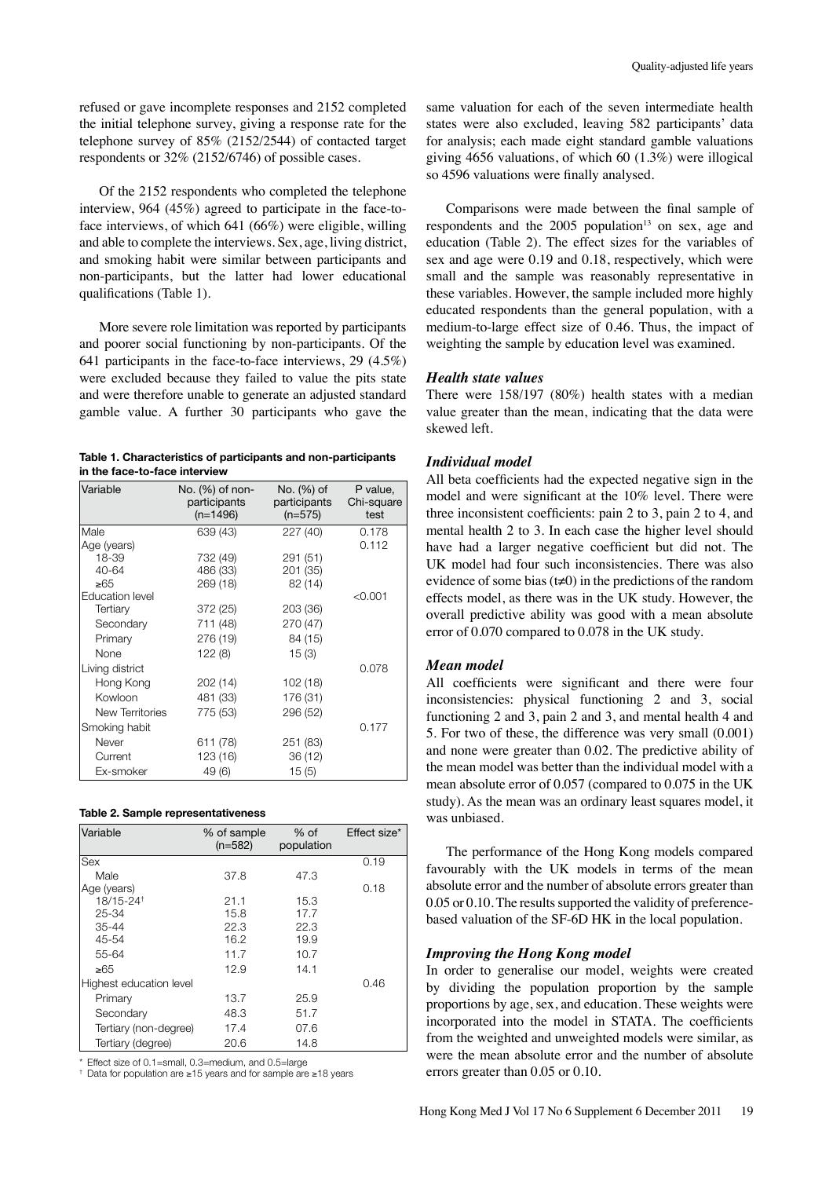refused or gave incomplete responses and 2152 completed the initial telephone survey, giving a response rate for the telephone survey of 85% (2152/2544) of contacted target respondents or 32% (2152/6746) of possible cases.

Of the 2152 respondents who completed the telephone interview, 964 (45%) agreed to participate in the face-toface interviews, of which 641 (66%) were eligible, willing and able to complete the interviews. Sex, age, living district, and smoking habit were similar between participants and non-participants, but the latter had lower educational qualifications (Table 1).

More severe role limitation was reported by participants and poorer social functioning by non-participants. Of the 641 participants in the face-to-face interviews, 29 (4.5%) were excluded because they failed to value the pits state and were therefore unable to generate an adjusted standard gamble value. A further 30 participants who gave the

|                               | Table 1. Characteristics of participants and non-participants |
|-------------------------------|---------------------------------------------------------------|
| in the face-to-face interview |                                                               |

| Variable               | No. (%) of non-<br>participants<br>$(n=1496)$ | No. (%) of<br>participants<br>$(n=575)$ | P value,<br>Chi-square<br>test |
|------------------------|-----------------------------------------------|-----------------------------------------|--------------------------------|
| Male                   | 639 (43)                                      | 227 (40)                                | 0.178                          |
| Age (years)            |                                               |                                         | 0.112                          |
| 18-39                  | 732 (49)                                      | 291 (51)                                |                                |
| 40-64                  | 486 (33)                                      | 201 (35)                                |                                |
| ≥65                    | 269 (18)                                      | 82 (14)                                 |                                |
| <b>Education level</b> |                                               |                                         | < 0.001                        |
| Tertiary               | 372 (25)                                      | 203 (36)                                |                                |
| Secondary              | 711 (48)                                      | 270 (47)                                |                                |
| Primary                | 276 (19)                                      | 84 (15)                                 |                                |
| None                   | 122(8)                                        | 15(3)                                   |                                |
| Living district        |                                               |                                         | 0.078                          |
| Hong Kong              | 202 (14)                                      | 102 (18)                                |                                |
| Kowloon                | 481 (33)                                      | 176 (31)                                |                                |
| New Territories        | 775 (53)                                      | 296 (52)                                |                                |
| Smoking habit          |                                               |                                         | 0.177                          |
| Never                  | 611 (78)                                      | 251 (83)                                |                                |
| Current                | 123 (16)                                      | 36 (12)                                 |                                |
| Ex-smoker              | 49 (6)                                        | 15(5)                                   |                                |

| Table 2. Sample representativeness |
|------------------------------------|
|------------------------------------|

| Variable                | % of sample<br>$(n=582)$ | $%$ of<br>population | Effect size* |
|-------------------------|--------------------------|----------------------|--------------|
| Sex                     |                          |                      | 0.19         |
| Male                    | 37.8                     | 47.3                 |              |
| Age (years)             |                          |                      | 0.18         |
| 18/15-24 <sup>+</sup>   | 21.1                     | 15.3                 |              |
| 25-34                   | 15.8                     | 17.7                 |              |
| $35 - 44$               | 22.3                     | 22.3                 |              |
| 45-54                   | 16.2                     | 19.9                 |              |
| 55-64                   | 11.7                     | 10.7                 |              |
| ≥65                     | 12.9                     | 14.1                 |              |
| Highest education level |                          |                      | 0.46         |
| Primary                 | 13.7                     | 25.9                 |              |
| Secondary               | 48.3                     | 51.7                 |              |
| Tertiary (non-degree)   | 17.4                     | 07.6                 |              |
| Tertiary (degree)       | 20.6                     | 14.8                 |              |

\* Effect size of 0.1=small, 0.3=medium, and 0.5=large

† Data for population are ≥15 years and for sample are ≥18 years

same valuation for each of the seven intermediate health states were also excluded, leaving 582 participants' data for analysis; each made eight standard gamble valuations giving 4656 valuations, of which 60 (1.3%) were illogical so 4596 valuations were finally analysed.

Comparisons were made between the final sample of respondents and the  $2005$  population<sup>13</sup> on sex, age and education (Table 2). The effect sizes for the variables of sex and age were 0.19 and 0.18, respectively, which were small and the sample was reasonably representative in these variables. However, the sample included more highly educated respondents than the general population, with a medium-to-large effect size of 0.46. Thus, the impact of weighting the sample by education level was examined.

# *Health state values*

There were 158/197 (80%) health states with a median value greater than the mean, indicating that the data were skewed left.

#### *Individual model*

All beta coefficients had the expected negative sign in the model and were significant at the 10% level. There were three inconsistent coefficients: pain 2 to 3, pain 2 to 4, and mental health 2 to 3. In each case the higher level should have had a larger negative coefficient but did not. The UK model had four such inconsistencies. There was also evidence of some bias  $(t\neq 0)$  in the predictions of the random effects model, as there was in the UK study. However, the overall predictive ability was good with a mean absolute error of 0.070 compared to 0.078 in the UK study.

# *Mean model*

All coefficients were significant and there were four inconsistencies: physical functioning 2 and 3, social functioning 2 and 3, pain 2 and 3, and mental health 4 and 5. For two of these, the difference was very small (0.001) and none were greater than 0.02. The predictive ability of the mean model was better than the individual model with a mean absolute error of 0.057 (compared to 0.075 in the UK study). As the mean was an ordinary least squares model, it was unbiased.

The performance of the Hong Kong models compared favourably with the UK models in terms of the mean absolute error and the number of absolute errors greater than 0.05 or 0.10. The results supported the validity of preferencebased valuation of the SF-6D HK in the local population.

#### *Improving the Hong Kong model*

In order to generalise our model, weights were created by dividing the population proportion by the sample proportions by age, sex, and education. These weights were incorporated into the model in STATA. The coefficients from the weighted and unweighted models were similar, as were the mean absolute error and the number of absolute errors greater than 0.05 or 0.10.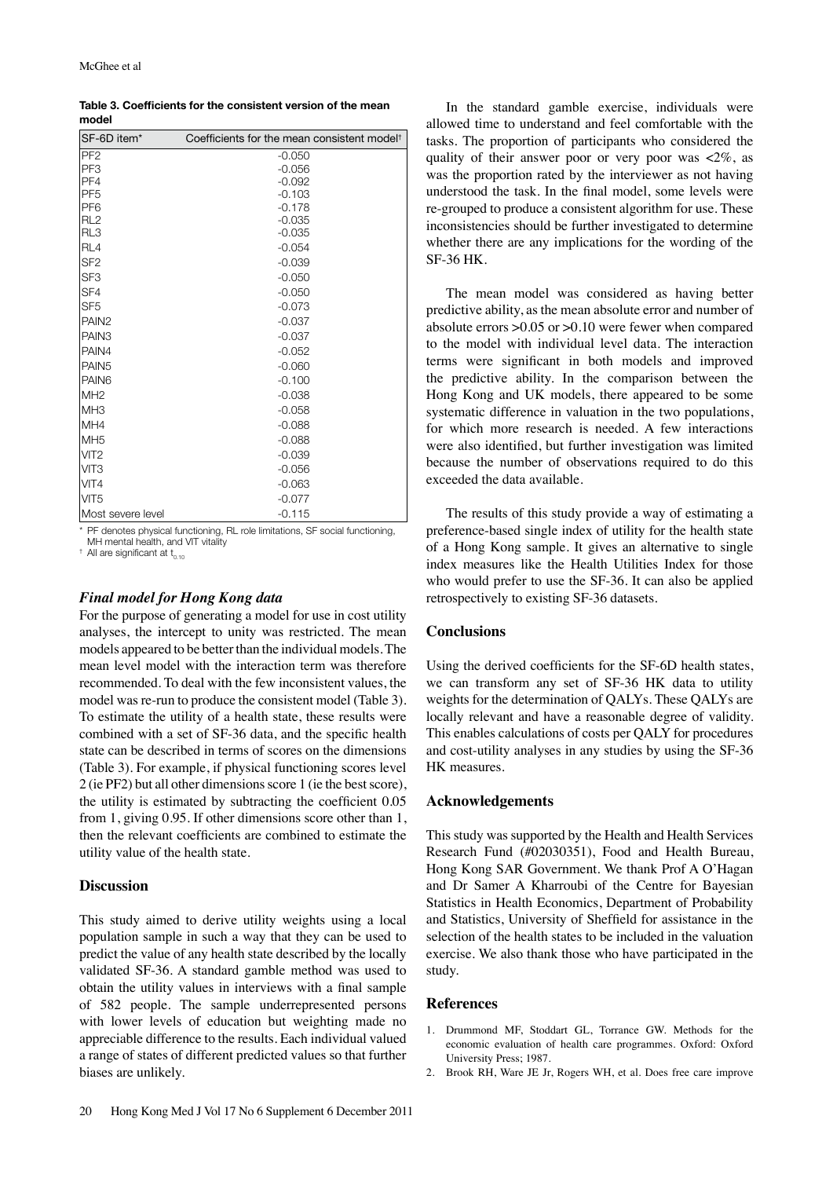| Table 3. Coefficients for the consistent version of the mean |
|--------------------------------------------------------------|
| model                                                        |

| SF-6D item*       | Coefficients for the mean consistent model <sup>†</sup> |
|-------------------|---------------------------------------------------------|
| PF <sub>2</sub>   | $-0.050$                                                |
| PF <sub>3</sub>   | $-0.056$                                                |
| PF4               | $-0.092$                                                |
| PF <sub>5</sub>   | $-0.103$                                                |
| PF <sub>6</sub>   | $-0.178$                                                |
| RL <sub>2</sub>   | $-0.035$                                                |
| RL3               | $-0.035$                                                |
| RL4               | $-0.054$                                                |
| SF <sub>2</sub>   | $-0.039$                                                |
| SF <sub>3</sub>   | $-0.050$                                                |
| <b>SF4</b>        | $-0.050$                                                |
| SF <sub>5</sub>   | $-0.073$                                                |
| PAIN <sub>2</sub> | $-0.037$                                                |
| PAIN <sub>3</sub> | $-0.037$                                                |
| <b>PAIN4</b>      | $-0.052$                                                |
| <b>PAIN5</b>      | $-0.060$                                                |
| <b>PAIN6</b>      | $-0.100$                                                |
| IMH <sub>2</sub>  | $-0.038$                                                |
| MH <sub>3</sub>   | $-0.058$                                                |
| MH4               | $-0.088$                                                |
| IMH5              | $-0.088$                                                |
| VIT <sub>2</sub>  | $-0.039$                                                |
| <b>VIT3</b>       | $-0.056$                                                |
| VIT <sub>4</sub>  | $-0.063$                                                |
| VIT <sub>5</sub>  | $-0.077$                                                |
| Most severe level | $-0.115$                                                |

\* PF denotes physical functioning, RL role limitations, SF social functioning,

MH mental health, and VIT vitality

 $^{\dagger}$  All are significant at  $t_{0.10}$ 

## *Final model for Hong Kong data*

For the purpose of generating a model for use in cost utility analyses, the intercept to unity was restricted. The mean models appeared to be better than the individual models. The mean level model with the interaction term was therefore recommended. To deal with the few inconsistent values, the model was re-run to produce the consistent model (Table 3). To estimate the utility of a health state, these results were combined with a set of SF-36 data, and the specific health state can be described in terms of scores on the dimensions (Table 3). For example, if physical functioning scores level 2 (ie PF2) but all other dimensions score 1 (ie the best score), the utility is estimated by subtracting the coefficient 0.05 from 1, giving 0.95. If other dimensions score other than 1, then the relevant coefficients are combined to estimate the utility value of the health state.

# **Discussion**

This study aimed to derive utility weights using a local population sample in such a way that they can be used to predict the value of any health state described by the locally validated SF-36. A standard gamble method was used to obtain the utility values in interviews with a final sample of 582 people. The sample underrepresented persons with lower levels of education but weighting made no appreciable difference to the results. Each individual valued a range of states of different predicted values so that further biases are unlikely.

In the standard gamble exercise, individuals were allowed time to understand and feel comfortable with the tasks. The proportion of participants who considered the quality of their answer poor or very poor was  $\langle 2\% \rangle$ , as was the proportion rated by the interviewer as not having understood the task. In the final model, some levels were re-grouped to produce a consistent algorithm for use. These inconsistencies should be further investigated to determine whether there are any implications for the wording of the SF-36 HK.

The mean model was considered as having better predictive ability, as the mean absolute error and number of absolute errors >0.05 or >0.10 were fewer when compared to the model with individual level data. The interaction terms were significant in both models and improved the predictive ability. In the comparison between the Hong Kong and UK models, there appeared to be some systematic difference in valuation in the two populations, for which more research is needed. A few interactions were also identified, but further investigation was limited because the number of observations required to do this exceeded the data available.

The results of this study provide a way of estimating a preference-based single index of utility for the health state of a Hong Kong sample. It gives an alternative to single index measures like the Health Utilities Index for those who would prefer to use the SF-36. It can also be applied retrospectively to existing SF-36 datasets.

#### **Conclusions**

Using the derived coefficients for the SF-6D health states, we can transform any set of SF-36 HK data to utility weights for the determination of QALYs. These QALYs are locally relevant and have a reasonable degree of validity. This enables calculations of costs per QALY for procedures and cost-utility analyses in any studies by using the SF-36 HK measures.

#### **Acknowledgements**

This study was supported by the Health and Health Services Research Fund (#02030351), Food and Health Bureau, Hong Kong SAR Government. We thank Prof A O'Hagan and Dr Samer A Kharroubi of the Centre for Bayesian Statistics in Health Economics, Department of Probability and Statistics, University of Sheffield for assistance in the selection of the health states to be included in the valuation exercise. We also thank those who have participated in the study.

#### **References**

- 1. Drummond MF, Stoddart GL, Torrance GW. Methods for the economic evaluation of health care programmes. Oxford: Oxford University Press; 1987.
- 2. Brook RH, Ware JE Jr, Rogers WH, et al. Does free care improve